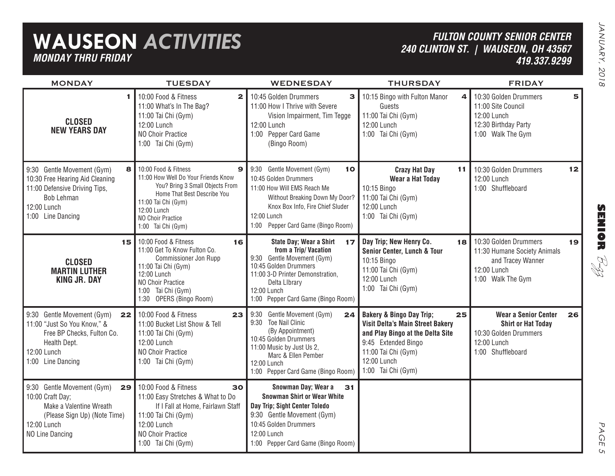## **WAUSEON** *ACTIVITIES MONDAY THRU FRIDAY*

### *FULTON COUNTY SENIOR CENTER240 CLINTON ST. | WAUSEON, OH 43567 419.337.9299*

| <b>MONDAY</b>                                                                                                                                                | <b>TUESDAY</b>                                                                                                                                                                                                      | <b>WEDNESDAY</b>                                                                                                                                                                                                       | <b>THURSDAY</b>                                                                                                                                                                                      | <b>FRIDAY</b>                                                                                                               |
|--------------------------------------------------------------------------------------------------------------------------------------------------------------|---------------------------------------------------------------------------------------------------------------------------------------------------------------------------------------------------------------------|------------------------------------------------------------------------------------------------------------------------------------------------------------------------------------------------------------------------|------------------------------------------------------------------------------------------------------------------------------------------------------------------------------------------------------|-----------------------------------------------------------------------------------------------------------------------------|
| 1.<br><b>CLOSED</b><br><b>NEW YEARS DAY</b>                                                                                                                  | 10:00 Food & Fitness<br>$\mathbf{2}$<br>11:00 What's In The Bag?<br>11:00 Tai Chi (Gym)<br>12:00 Lunch<br>NO Choir Practice<br>1:00 Tai Chi (Gym)                                                                   | 10:45 Golden Drummers<br>3<br>11:00 How I Thrive with Severe<br>Vision Impairment, Tim Tegge<br>12:00 Lunch<br>1:00 Pepper Card Game<br>(Bingo Room)                                                                   | 10:15 Bingo with Fulton Manor<br>4<br>Guests<br>11:00 Tai Chi (Gym)<br>12:00 Lunch<br>1:00 Tai Chi (Gym)                                                                                             | 10:30 Golden Drummers<br>5<br>11:00 Site Council<br>12:00 Lunch<br>12:30 Birthday Party<br>1:00 Walk The Gym                |
| 9:30 Gentle Movement (Gym)<br>8<br>10:30 Free Hearing Aid Cleaning<br>11:00 Defensive Driving Tips,<br><b>Bob Lehman</b><br>12:00 Lunch<br>1:00 Line Dancing | 10:00 Food & Fitness<br>9<br>11:00 How Well Do Your Friends Know<br>You? Bring 3 Small Objects From<br>Home That Best Describe You<br>11:00 Tai Chi (Gym)<br>12:00 Lunch<br>NO Choir Practice<br>1:00 Tai Chi (Gym) | 9:30 Gentle Movement (Gym)<br>10<br>10:45 Golden Drummers<br>11:00 How Will EMS Reach Me<br>Without Breaking Down My Door?<br>Knox Box Info, Fire Chief Sluder<br>12:00 Lunch<br>Pepper Card Game (Bingo Room)<br>1:00 | <b>Crazy Hat Day</b><br>11<br><b>Wear a Hat Today</b><br>10:15 Bingo<br>11:00 Tai Chi (Gym)<br>12:00 Lunch<br>1:00 Tai Chi (Gym)                                                                     | 10:30 Golden Drummers<br>12<br>12:00 Lunch<br>1:00 Shuffleboard                                                             |
| 15<br><b>CLOSED</b><br><b>MARTIN LUTHER</b><br><b>KING JR. DAY</b>                                                                                           | 10:00 Food & Fitness<br>16<br>11:00 Get To Know Fulton Co.<br>Commissioner Jon Rupp<br>11:00 Tai Chi (Gym)<br>12:00 Lunch<br>NO Choir Practice<br>1:00 Tai Chi (Gym)<br>1:30 OPERS (Bingo Room)                     | State Day; Wear a Shirt<br>17<br>from a Trip/Vacation<br>9:30 Gentle Movement (Gym)<br>10:45 Golden Drummers<br>11:00 3-D Printer Demonstration,<br>Delta Library<br>12:00 Lunch<br>1:00 Pepper Card Game (Bingo Room) | Day Trip; New Henry Co.<br>18<br>Senior Center, Lunch & Tour<br>10:15 Bingo<br>11:00 Tai Chi (Gym)<br>12:00 Lunch<br>1:00 Tai Chi (Gym)                                                              | 10:30 Golden Drummers<br>19<br>11:30 Humane Society Animals<br>and Tracey Wanner<br>12:00 Lunch<br>1:00 Walk The Gym        |
| 9:30 Gentle Movement (Gym)<br>22<br>11:00 "Just So You Know," &<br>Free BP Checks, Fulton Co.<br>Health Dept.<br>12:00 Lunch<br>1:00 Line Dancing            | 10:00 Food & Fitness<br>23<br>11:00 Bucket List Show & Tell<br>11:00 Tai Chi (Gym)<br>12:00 Lunch<br>NO Choir Practice<br>1:00 Tai Chi (Gym)                                                                        | Gentle Movement (Gym)<br>9:30<br>24<br>9:30 Toe Nail Clinic<br>(By Appointment)<br>10:45 Golden Drummers<br>11:00 Music by Just Us 2,<br>Marc & Ellen Pember<br>12:00 Lunch<br>1:00 Pepper Card Game (Bingo Room)      | <b>Bakery &amp; Bingo Day Trip;</b><br>25<br>Visit Delta's Main Street Bakery<br>and Play Bingo at the Delta Site<br>9:45 Extended Bingo<br>11:00 Tai Chi (Gym)<br>12:00 Lunch<br>1:00 Tai Chi (Gym) | <b>Wear a Senior Center</b><br>26<br><b>Shirt or Hat Today</b><br>10:30 Golden Drummers<br>12:00 Lunch<br>1:00 Shuffleboard |
| 9:30 Gentle Movement (Gym)<br>29<br>10:00 Craft Day;<br>Make a Valentine Wreath<br>(Please Sign Up) (Note Time)<br>12:00 Lunch<br>NO Line Dancing            | 10:00 Food & Fitness<br>30<br>11:00 Easy Stretches & What to Do<br>If I Fall at Home, Fairlawn Staff<br>11:00 Tai Chi (Gym)<br>12:00 Lunch<br>NO Choir Practice<br>1:00 Tai Chi (Gym)                               | Snowman Day; Wear a<br>31<br><b>Snowman Shirt or Wear White</b><br>Day Trip; Sight Center Toledo<br>9:30 Gentle Movement (Gym)<br>10:45 Golden Drummers<br>12:00 Lunch<br>1:00 Pepper Card Game (Bingo Room)           |                                                                                                                                                                                                      |                                                                                                                             |

**SENIOR** B-zz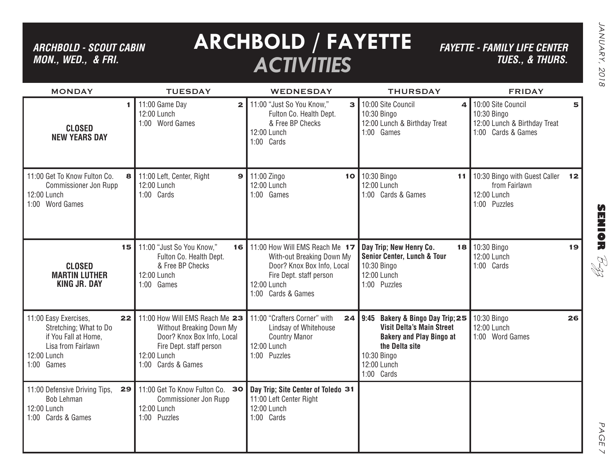*ARCHBOLD - SCOUT CABIN MON., WED., & FRI.*

# **ARCHBOLD / FAYETTE** *ACTIVITIES*

*FAYETTE - FAMILY LIFE CENTER TUES., & THURS.*

| <b>MONDAY</b>                                                                                                                    | <b>TUESDAY</b>                                                                                                                                           | <b>WEDNESDAY</b>                                                                                                                                               | <b>THURSDAY</b>                                                                                                                                                          | <b>FRIDAY</b>                                                                                |
|----------------------------------------------------------------------------------------------------------------------------------|----------------------------------------------------------------------------------------------------------------------------------------------------------|----------------------------------------------------------------------------------------------------------------------------------------------------------------|--------------------------------------------------------------------------------------------------------------------------------------------------------------------------|----------------------------------------------------------------------------------------------|
| <b>CLOSED</b><br><b>NEW YEARS DAY</b>                                                                                            | 11:00 Game Day<br>2 <sup>1</sup><br>12:00 Lunch<br>1:00 Word Games                                                                                       | 11:00 "Just So You Know,"<br>$\mathbf{3}$<br>Fulton Co. Health Dept.<br>& Free BP Checks<br>12:00 Lunch<br>1:00 Cards                                          | 10:00 Site Council<br>4 <sup>1</sup><br>10:30 Bingo<br>12:00 Lunch & Birthday Treat<br>1:00 Games                                                                        | 10:00 Site Council<br>5<br>10:30 Bingo<br>12:00 Lunch & Birthday Treat<br>1:00 Cards & Games |
| 11:00 Get To Know Fulton Co.<br><b>Commissioner Jon Rupp</b><br>12:00 Lunch<br>1:00 Word Games                                   | 8 11:00 Left, Center, Right<br>12:00 Lunch<br>1:00 Cards                                                                                                 | $9$ 11:00 Zingo<br>12:00 Lunch<br>1:00 Games                                                                                                                   | 10 10:30 Bingo<br>11<br>12:00 Lunch<br>1:00 Cards & Games                                                                                                                | 10:30 Bingo with Guest Caller<br>12<br>from Fairlawn<br>12:00 Lunch<br>1:00 Puzzles          |
| 15<br><b>CLOSED</b><br><b>MARTIN LUTHER</b><br><b>KING JR. DAY</b>                                                               | 11:00 "Just So You Know,"<br>Fulton Co. Health Dept.<br>& Free BP Checks<br>12:00 Lunch<br>1:00 Games                                                    | 16   11:00 How Will EMS Reach Me 17<br>With-out Breaking Down My<br>Door? Knox Box Info, Local<br>Fire Dept. staff person<br>12:00 Lunch<br>1:00 Cards & Games | Day Trip; New Henry Co.<br>Senior Center, Lunch & Tour<br>10:30 Bingo<br>12:00 Lunch<br>1:00 Puzzles                                                                     | 18 10:30 Bingo<br>19<br>12:00 Lunch<br>1:00 Cards                                            |
| 11:00 Easy Exercises,<br>22<br>Stretching; What to Do<br>if You Fall at Home,<br>Lisa from Fairlawn<br>12:00 Lunch<br>1:00 Games | 11:00 How Will EMS Reach Me 23<br>Without Breaking Down My<br>Door? Knox Box Info, Local<br>Fire Dept. staff person<br>12:00 Lunch<br>1:00 Cards & Games | 11:00 "Crafters Corner" with<br>24<br>Lindsay of Whitehouse<br><b>Country Manor</b><br>12:00 Lunch<br>1:00 Puzzles                                             | Bakery & Bingo Day Trip; 25<br>9:45<br><b>Visit Delta's Main Street</b><br><b>Bakery and Play Bingo at</b><br>the Delta site<br>10:30 Bingo<br>12:00 Lunch<br>1:00 Cards | 10:30 Bingo<br>26<br>12:00 Lunch<br>1:00 Word Games                                          |
| 11:00 Defensive Driving Tips,<br>29<br>Bob Lehman<br>12:00 Lunch<br>1:00 Cards & Games                                           | 11:00 Get To Know Fulton Co. 30<br>Commissioner Jon Rupp<br>12:00 Lunch<br>1:00 Puzzles                                                                  | Day Trip; Site Center of Toledo 31<br>11:00 Left Center Right<br>12:00 Lunch<br>1:00 Cards                                                                     |                                                                                                                                                                          |                                                                                              |

PAGE PAGE 7  $\overline{\phantom{0}}$